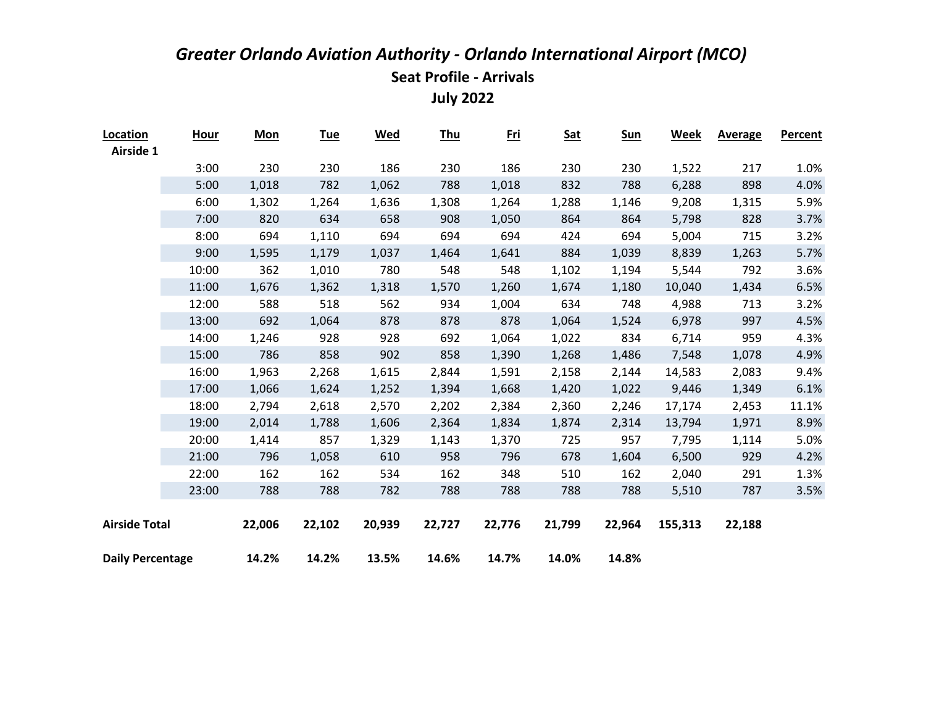| Location                | <b>Hour</b> | <b>Mon</b> | <b>Tue</b> | <b>Wed</b> | <b>Thu</b> | <u>Fri</u> | <b>Sat</b> | <b>Sun</b> | Week    | <b>Average</b> | <b>Percent</b> |
|-------------------------|-------------|------------|------------|------------|------------|------------|------------|------------|---------|----------------|----------------|
| <b>Airside 1</b>        |             |            |            |            |            |            |            |            |         |                |                |
|                         | 3:00        | 230        | 230        | 186        | 230        | 186        | 230        | 230        | 1,522   | 217            | 1.0%           |
|                         | 5:00        | 1,018      | 782        | 1,062      | 788        | 1,018      | 832        | 788        | 6,288   | 898            | 4.0%           |
|                         | 6:00        | 1,302      | 1,264      | 1,636      | 1,308      | 1,264      | 1,288      | 1,146      | 9,208   | 1,315          | 5.9%           |
|                         | 7:00        | 820        | 634        | 658        | 908        | 1,050      | 864        | 864        | 5,798   | 828            | 3.7%           |
|                         | 8:00        | 694        | 1,110      | 694        | 694        | 694        | 424        | 694        | 5,004   | 715            | 3.2%           |
|                         | 9:00        | 1,595      | 1,179      | 1,037      | 1,464      | 1,641      | 884        | 1,039      | 8,839   | 1,263          | 5.7%           |
|                         | 10:00       | 362        | 1,010      | 780        | 548        | 548        | 1,102      | 1,194      | 5,544   | 792            | 3.6%           |
|                         | 11:00       | 1,676      | 1,362      | 1,318      | 1,570      | 1,260      | 1,674      | 1,180      | 10,040  | 1,434          | 6.5%           |
|                         | 12:00       | 588        | 518        | 562        | 934        | 1,004      | 634        | 748        | 4,988   | 713            | 3.2%           |
|                         | 13:00       | 692        | 1,064      | 878        | 878        | 878        | 1,064      | 1,524      | 6,978   | 997            | 4.5%           |
|                         | 14:00       | 1,246      | 928        | 928        | 692        | 1,064      | 1,022      | 834        | 6,714   | 959            | 4.3%           |
|                         | 15:00       | 786        | 858        | 902        | 858        | 1,390      | 1,268      | 1,486      | 7,548   | 1,078          | 4.9%           |
|                         | 16:00       | 1,963      | 2,268      | 1,615      | 2,844      | 1,591      | 2,158      | 2,144      | 14,583  | 2,083          | 9.4%           |
|                         | 17:00       | 1,066      | 1,624      | 1,252      | 1,394      | 1,668      | 1,420      | 1,022      | 9,446   | 1,349          | 6.1%           |
|                         | 18:00       | 2,794      | 2,618      | 2,570      | 2,202      | 2,384      | 2,360      | 2,246      | 17,174  | 2,453          | 11.1%          |
|                         | 19:00       | 2,014      | 1,788      | 1,606      | 2,364      | 1,834      | 1,874      | 2,314      | 13,794  | 1,971          | 8.9%           |
|                         | 20:00       | 1,414      | 857        | 1,329      | 1,143      | 1,370      | 725        | 957        | 7,795   | 1,114          | 5.0%           |
|                         | 21:00       | 796        | 1,058      | 610        | 958        | 796        | 678        | 1,604      | 6,500   | 929            | 4.2%           |
|                         | 22:00       | 162        | 162        | 534        | 162        | 348        | 510        | 162        | 2,040   | 291            | 1.3%           |
|                         | 23:00       | 788        | 788        | 782        | 788        | 788        | 788        | 788        | 5,510   | 787            | 3.5%           |
|                         |             |            |            |            |            |            |            |            |         |                |                |
| <b>Airside Total</b>    |             | 22,006     | 22,102     | 20,939     | 22,727     | 22,776     | 21,799     | 22,964     | 155,313 | 22,188         |                |
|                         |             |            |            |            |            |            |            |            |         |                |                |
| <b>Daily Percentage</b> |             | 14.2%      | 14.2%      | 13.5%      | 14.6%      | 14.7%      | 14.0%      | 14.8%      |         |                |                |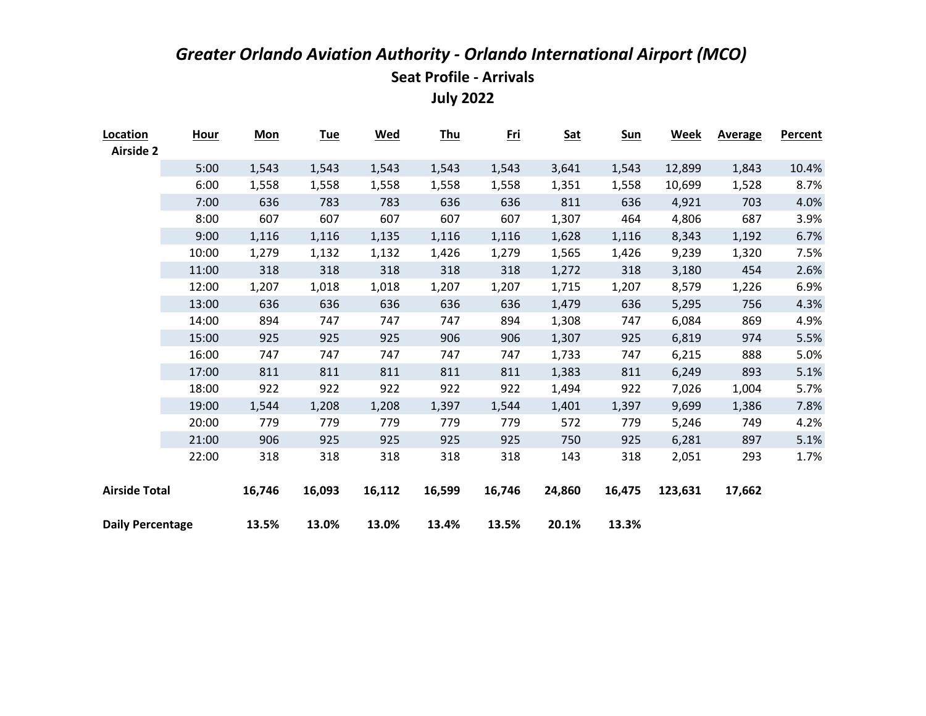| Location                | <b>Hour</b> | <b>Mon</b> | <u>Tue</u> | <b>Wed</b> | <b>Thu</b> | <u>Fri</u> | <b>Sat</b> | <u>Sun</u> | <b>Week</b> | <b>Average</b> | Percent |
|-------------------------|-------------|------------|------------|------------|------------|------------|------------|------------|-------------|----------------|---------|
| <b>Airside 2</b>        |             |            |            |            |            |            |            |            |             |                |         |
|                         | 5:00        | 1,543      | 1,543      | 1,543      | 1,543      | 1,543      | 3,641      | 1,543      | 12,899      | 1,843          | 10.4%   |
|                         | 6:00        | 1,558      | 1,558      | 1,558      | 1,558      | 1,558      | 1,351      | 1,558      | 10,699      | 1,528          | 8.7%    |
|                         | 7:00        | 636        | 783        | 783        | 636        | 636        | 811        | 636        | 4,921       | 703            | 4.0%    |
|                         | 8:00        | 607        | 607        | 607        | 607        | 607        | 1,307      | 464        | 4,806       | 687            | 3.9%    |
|                         | 9:00        | 1,116      | 1,116      | 1,135      | 1,116      | 1,116      | 1,628      | 1,116      | 8,343       | 1,192          | 6.7%    |
|                         | 10:00       | 1,279      | 1,132      | 1,132      | 1,426      | 1,279      | 1,565      | 1,426      | 9,239       | 1,320          | 7.5%    |
|                         | 11:00       | 318        | 318        | 318        | 318        | 318        | 1,272      | 318        | 3,180       | 454            | 2.6%    |
|                         | 12:00       | 1,207      | 1,018      | 1,018      | 1,207      | 1,207      | 1,715      | 1,207      | 8,579       | 1,226          | 6.9%    |
|                         | 13:00       | 636        | 636        | 636        | 636        | 636        | 1,479      | 636        | 5,295       | 756            | 4.3%    |
|                         | 14:00       | 894        | 747        | 747        | 747        | 894        | 1,308      | 747        | 6,084       | 869            | 4.9%    |
|                         | 15:00       | 925        | 925        | 925        | 906        | 906        | 1,307      | 925        | 6,819       | 974            | 5.5%    |
|                         | 16:00       | 747        | 747        | 747        | 747        | 747        | 1,733      | 747        | 6,215       | 888            | 5.0%    |
|                         | 17:00       | 811        | 811        | 811        | 811        | 811        | 1,383      | 811        | 6,249       | 893            | 5.1%    |
|                         | 18:00       | 922        | 922        | 922        | 922        | 922        | 1,494      | 922        | 7,026       | 1,004          | 5.7%    |
|                         | 19:00       | 1,544      | 1,208      | 1,208      | 1,397      | 1,544      | 1,401      | 1,397      | 9,699       | 1,386          | 7.8%    |
|                         | 20:00       | 779        | 779        | 779        | 779        | 779        | 572        | 779        | 5,246       | 749            | 4.2%    |
|                         | 21:00       | 906        | 925        | 925        | 925        | 925        | 750        | 925        | 6,281       | 897            | 5.1%    |
|                         | 22:00       | 318        | 318        | 318        | 318        | 318        | 143        | 318        | 2,051       | 293            | 1.7%    |
|                         |             |            |            |            |            |            |            |            |             |                |         |
| <b>Airside Total</b>    |             | 16,746     | 16,093     | 16,112     | 16,599     | 16,746     | 24,860     | 16,475     | 123,631     | 17,662         |         |
| <b>Daily Percentage</b> |             | 13.5%      | 13.0%      | 13.0%      | 13.4%      | 13.5%      | 20.1%      | 13.3%      |             |                |         |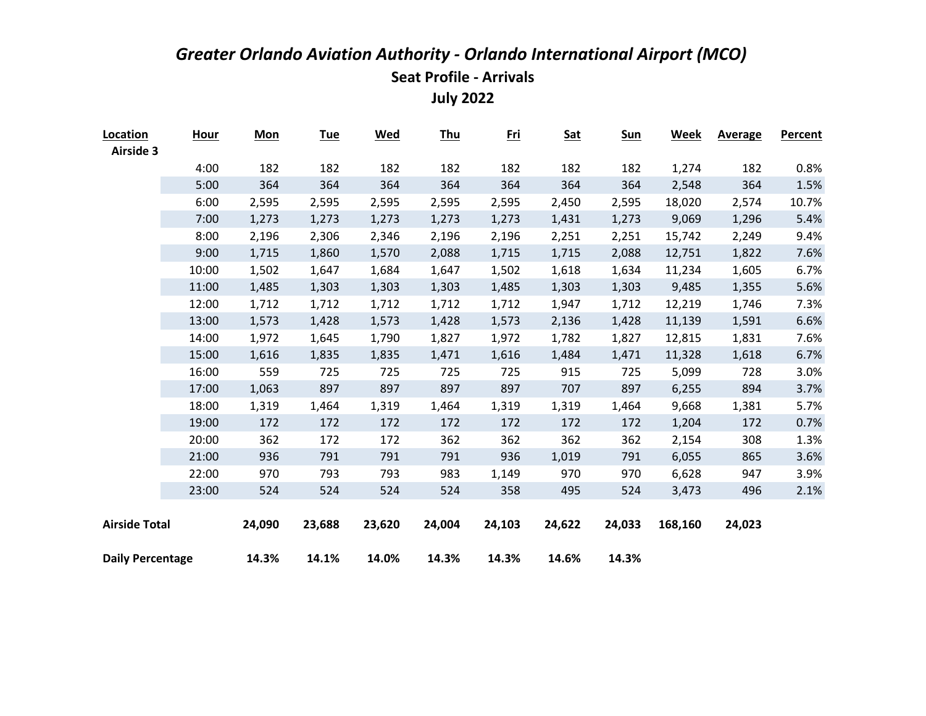| Location                | <b>Hour</b> | <b>Mon</b> | <u>Tue</u> | <u>Wed</u> | <u>Thu</u> | <u>Fri</u> | <u>Sat</u> | <b>Sun</b> | Week    | <b>Average</b> | Percent |
|-------------------------|-------------|------------|------------|------------|------------|------------|------------|------------|---------|----------------|---------|
| <b>Airside 3</b>        |             |            |            |            |            |            |            |            |         |                |         |
|                         | 4:00        | 182        | 182        | 182        | 182        | 182        | 182        | 182        | 1,274   | 182            | 0.8%    |
|                         | 5:00        | 364        | 364        | 364        | 364        | 364        | 364        | 364        | 2,548   | 364            | 1.5%    |
|                         | 6:00        | 2,595      | 2,595      | 2,595      | 2,595      | 2,595      | 2,450      | 2,595      | 18,020  | 2,574          | 10.7%   |
|                         | 7:00        | 1,273      | 1,273      | 1,273      | 1,273      | 1,273      | 1,431      | 1,273      | 9,069   | 1,296          | 5.4%    |
|                         | 8:00        | 2,196      | 2,306      | 2,346      | 2,196      | 2,196      | 2,251      | 2,251      | 15,742  | 2,249          | 9.4%    |
|                         | 9:00        | 1,715      | 1,860      | 1,570      | 2,088      | 1,715      | 1,715      | 2,088      | 12,751  | 1,822          | 7.6%    |
|                         | 10:00       | 1,502      | 1,647      | 1,684      | 1,647      | 1,502      | 1,618      | 1,634      | 11,234  | 1,605          | 6.7%    |
|                         | 11:00       | 1,485      | 1,303      | 1,303      | 1,303      | 1,485      | 1,303      | 1,303      | 9,485   | 1,355          | 5.6%    |
|                         | 12:00       | 1,712      | 1,712      | 1,712      | 1,712      | 1,712      | 1,947      | 1,712      | 12,219  | 1,746          | 7.3%    |
|                         | 13:00       | 1,573      | 1,428      | 1,573      | 1,428      | 1,573      | 2,136      | 1,428      | 11,139  | 1,591          | 6.6%    |
|                         | 14:00       | 1,972      | 1,645      | 1,790      | 1,827      | 1,972      | 1,782      | 1,827      | 12,815  | 1,831          | 7.6%    |
|                         | 15:00       | 1,616      | 1,835      | 1,835      | 1,471      | 1,616      | 1,484      | 1,471      | 11,328  | 1,618          | 6.7%    |
|                         | 16:00       | 559        | 725        | 725        | 725        | 725        | 915        | 725        | 5,099   | 728            | 3.0%    |
|                         | 17:00       | 1,063      | 897        | 897        | 897        | 897        | 707        | 897        | 6,255   | 894            | 3.7%    |
|                         | 18:00       | 1,319      | 1,464      | 1,319      | 1,464      | 1,319      | 1,319      | 1,464      | 9,668   | 1,381          | 5.7%    |
|                         | 19:00       | 172        | 172        | 172        | 172        | 172        | 172        | 172        | 1,204   | 172            | 0.7%    |
|                         | 20:00       | 362        | 172        | 172        | 362        | 362        | 362        | 362        | 2,154   | 308            | 1.3%    |
|                         | 21:00       | 936        | 791        | 791        | 791        | 936        | 1,019      | 791        | 6,055   | 865            | 3.6%    |
|                         | 22:00       | 970        | 793        | 793        | 983        | 1,149      | 970        | 970        | 6,628   | 947            | 3.9%    |
|                         | 23:00       | 524        | 524        | 524        | 524        | 358        | 495        | 524        | 3,473   | 496            | 2.1%    |
|                         |             |            |            |            |            |            |            |            |         |                |         |
| <b>Airside Total</b>    |             | 24,090     | 23,688     | 23,620     | 24,004     | 24,103     | 24,622     | 24,033     | 168,160 | 24,023         |         |
|                         |             |            |            |            |            |            |            |            |         |                |         |
| <b>Daily Percentage</b> |             | 14.3%      | 14.1%      | 14.0%      | 14.3%      | 14.3%      | 14.6%      | 14.3%      |         |                |         |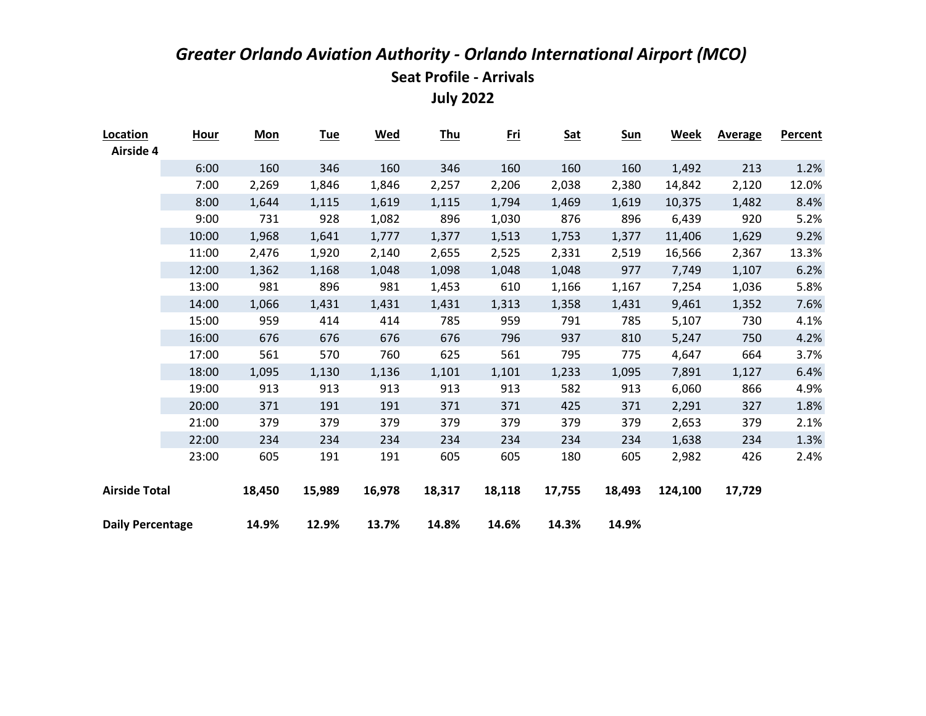| Location                | <b>Hour</b> | <b>Mon</b> | <u>Tue</u> | <b>Wed</b> | <b>Thu</b> | <u>Fri</u> | <b>Sat</b> | <u>Sun</u> | <b>Week</b> | <b>Average</b> | Percent |
|-------------------------|-------------|------------|------------|------------|------------|------------|------------|------------|-------------|----------------|---------|
| Airside 4               |             |            |            |            |            |            |            |            |             |                |         |
|                         | 6:00        | 160        | 346        | 160        | 346        | 160        | 160        | 160        | 1,492       | 213            | 1.2%    |
|                         | 7:00        | 2,269      | 1,846      | 1,846      | 2,257      | 2,206      | 2,038      | 2,380      | 14,842      | 2,120          | 12.0%   |
|                         | 8:00        | 1,644      | 1,115      | 1,619      | 1,115      | 1,794      | 1,469      | 1,619      | 10,375      | 1,482          | 8.4%    |
|                         | 9:00        | 731        | 928        | 1,082      | 896        | 1,030      | 876        | 896        | 6,439       | 920            | 5.2%    |
|                         | 10:00       | 1,968      | 1,641      | 1,777      | 1,377      | 1,513      | 1,753      | 1,377      | 11,406      | 1,629          | 9.2%    |
|                         | 11:00       | 2,476      | 1,920      | 2,140      | 2,655      | 2,525      | 2,331      | 2,519      | 16,566      | 2,367          | 13.3%   |
|                         | 12:00       | 1,362      | 1,168      | 1,048      | 1,098      | 1,048      | 1,048      | 977        | 7,749       | 1,107          | 6.2%    |
|                         | 13:00       | 981        | 896        | 981        | 1,453      | 610        | 1,166      | 1,167      | 7,254       | 1,036          | 5.8%    |
|                         | 14:00       | 1,066      | 1,431      | 1,431      | 1,431      | 1,313      | 1,358      | 1,431      | 9,461       | 1,352          | 7.6%    |
|                         | 15:00       | 959        | 414        | 414        | 785        | 959        | 791        | 785        | 5,107       | 730            | 4.1%    |
|                         | 16:00       | 676        | 676        | 676        | 676        | 796        | 937        | 810        | 5,247       | 750            | 4.2%    |
|                         | 17:00       | 561        | 570        | 760        | 625        | 561        | 795        | 775        | 4,647       | 664            | 3.7%    |
|                         | 18:00       | 1,095      | 1,130      | 1,136      | 1,101      | 1,101      | 1,233      | 1,095      | 7,891       | 1,127          | 6.4%    |
|                         | 19:00       | 913        | 913        | 913        | 913        | 913        | 582        | 913        | 6,060       | 866            | 4.9%    |
|                         | 20:00       | 371        | 191        | 191        | 371        | 371        | 425        | 371        | 2,291       | 327            | 1.8%    |
|                         | 21:00       | 379        | 379        | 379        | 379        | 379        | 379        | 379        | 2,653       | 379            | 2.1%    |
|                         | 22:00       | 234        | 234        | 234        | 234        | 234        | 234        | 234        | 1,638       | 234            | 1.3%    |
|                         | 23:00       | 605        | 191        | 191        | 605        | 605        | 180        | 605        | 2,982       | 426            | 2.4%    |
| <b>Airside Total</b>    |             | 18,450     | 15,989     | 16,978     | 18,317     | 18,118     | 17,755     | 18,493     | 124,100     | 17,729         |         |
| <b>Daily Percentage</b> |             | 14.9%      | 12.9%      | 13.7%      | 14.8%      | 14.6%      | 14.3%      | 14.9%      |             |                |         |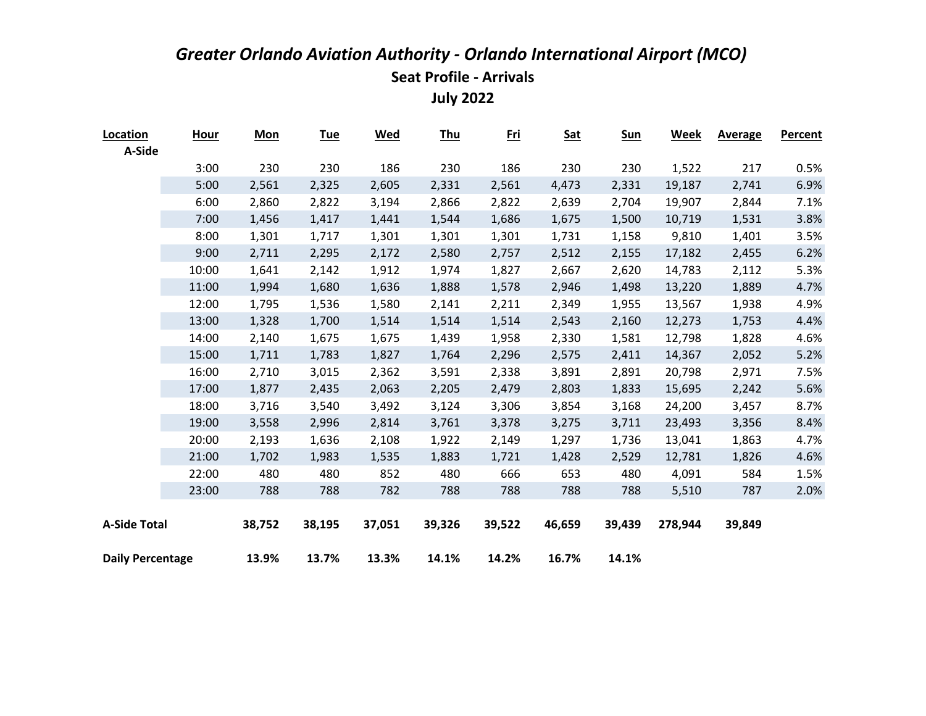| Location                | <b>Hour</b> | <b>Mon</b> | <b>Tue</b> | <u>Wed</u> | <b>Thu</b> | <u>Fri</u> | <b>Sat</b> | <b>Sun</b> | Week    | <b>Average</b> | <b>Percent</b> |
|-------------------------|-------------|------------|------------|------------|------------|------------|------------|------------|---------|----------------|----------------|
| A-Side                  |             |            |            |            |            |            |            |            |         |                |                |
|                         | 3:00        | 230        | 230        | 186        | 230        | 186        | 230        | 230        | 1,522   | 217            | 0.5%           |
|                         | 5:00        | 2,561      | 2,325      | 2,605      | 2,331      | 2,561      | 4,473      | 2,331      | 19,187  | 2,741          | 6.9%           |
|                         | 6:00        | 2,860      | 2,822      | 3,194      | 2,866      | 2,822      | 2,639      | 2,704      | 19,907  | 2,844          | 7.1%           |
|                         | 7:00        | 1,456      | 1,417      | 1,441      | 1,544      | 1,686      | 1,675      | 1,500      | 10,719  | 1,531          | 3.8%           |
|                         | 8:00        | 1,301      | 1,717      | 1,301      | 1,301      | 1,301      | 1,731      | 1,158      | 9,810   | 1,401          | 3.5%           |
|                         | 9:00        | 2,711      | 2,295      | 2,172      | 2,580      | 2,757      | 2,512      | 2,155      | 17,182  | 2,455          | 6.2%           |
|                         | 10:00       | 1,641      | 2,142      | 1,912      | 1,974      | 1,827      | 2,667      | 2,620      | 14,783  | 2,112          | 5.3%           |
|                         | 11:00       | 1,994      | 1,680      | 1,636      | 1,888      | 1,578      | 2,946      | 1,498      | 13,220  | 1,889          | 4.7%           |
|                         | 12:00       | 1,795      | 1,536      | 1,580      | 2,141      | 2,211      | 2,349      | 1,955      | 13,567  | 1,938          | 4.9%           |
|                         | 13:00       | 1,328      | 1,700      | 1,514      | 1,514      | 1,514      | 2,543      | 2,160      | 12,273  | 1,753          | 4.4%           |
|                         | 14:00       | 2,140      | 1,675      | 1,675      | 1,439      | 1,958      | 2,330      | 1,581      | 12,798  | 1,828          | 4.6%           |
|                         | 15:00       | 1,711      | 1,783      | 1,827      | 1,764      | 2,296      | 2,575      | 2,411      | 14,367  | 2,052          | 5.2%           |
|                         | 16:00       | 2,710      | 3,015      | 2,362      | 3,591      | 2,338      | 3,891      | 2,891      | 20,798  | 2,971          | 7.5%           |
|                         | 17:00       | 1,877      | 2,435      | 2,063      | 2,205      | 2,479      | 2,803      | 1,833      | 15,695  | 2,242          | 5.6%           |
|                         | 18:00       | 3,716      | 3,540      | 3,492      | 3,124      | 3,306      | 3,854      | 3,168      | 24,200  | 3,457          | 8.7%           |
|                         | 19:00       | 3,558      | 2,996      | 2,814      | 3,761      | 3,378      | 3,275      | 3,711      | 23,493  | 3,356          | 8.4%           |
|                         | 20:00       | 2,193      | 1,636      | 2,108      | 1,922      | 2,149      | 1,297      | 1,736      | 13,041  | 1,863          | 4.7%           |
|                         | 21:00       | 1,702      | 1,983      | 1,535      | 1,883      | 1,721      | 1,428      | 2,529      | 12,781  | 1,826          | 4.6%           |
|                         | 22:00       | 480        | 480        | 852        | 480        | 666        | 653        | 480        | 4,091   | 584            | 1.5%           |
|                         | 23:00       | 788        | 788        | 782        | 788        | 788        | 788        | 788        | 5,510   | 787            | 2.0%           |
|                         |             |            |            |            |            |            |            |            |         |                |                |
| <b>A-Side Total</b>     |             | 38,752     | 38,195     | 37,051     | 39,326     | 39,522     | 46,659     | 39,439     | 278,944 | 39,849         |                |
|                         |             |            |            |            |            |            |            |            |         |                |                |
| <b>Daily Percentage</b> |             | 13.9%      | 13.7%      | 13.3%      | 14.1%      | 14.2%      | 16.7%      | 14.1%      |         |                |                |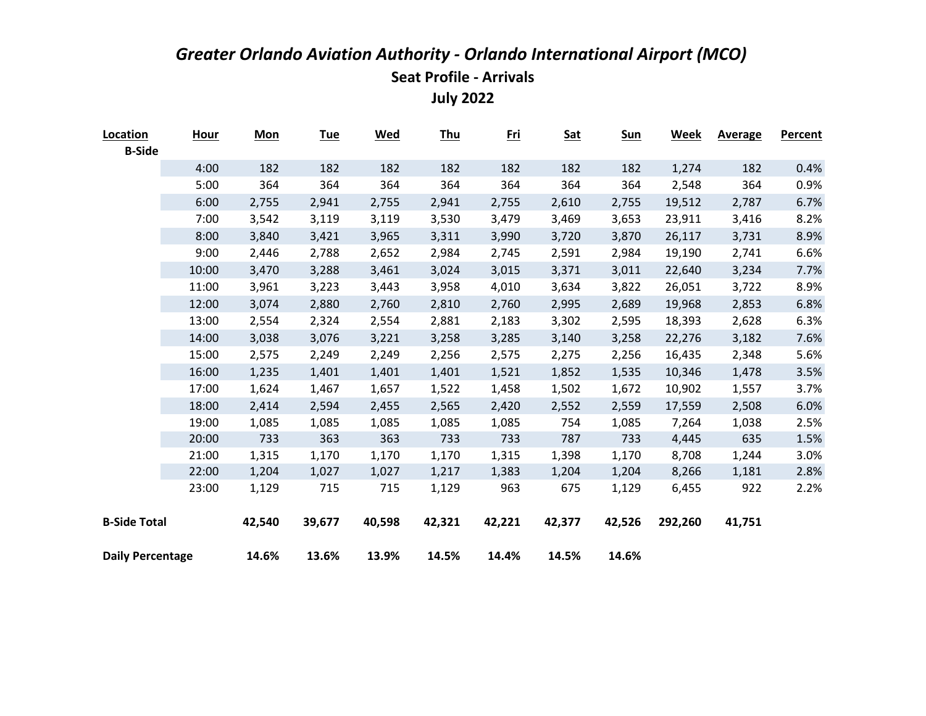| Location<br><b>B-Side</b> | <u>Hour</u> | <b>Mon</b> | <u>Tue</u> | <b>Wed</b> | <u>Thu</u> | <u>Fri</u> | <b>Sat</b> | <b>Sun</b> | Week    | <b>Average</b> | <b>Percent</b> |
|---------------------------|-------------|------------|------------|------------|------------|------------|------------|------------|---------|----------------|----------------|
|                           | 4:00        | 182        | 182        | 182        | 182        | 182        | 182        | 182        | 1,274   | 182            | 0.4%           |
|                           | 5:00        | 364        | 364        | 364        | 364        | 364        | 364        | 364        | 2,548   | 364            | 0.9%           |
|                           | 6:00        | 2,755      | 2,941      | 2,755      | 2,941      | 2,755      | 2,610      | 2,755      | 19,512  | 2,787          | 6.7%           |
|                           | 7:00        | 3,542      | 3,119      | 3,119      | 3,530      | 3,479      | 3,469      | 3,653      | 23,911  | 3,416          | 8.2%           |
|                           | 8:00        | 3,840      | 3,421      | 3,965      | 3,311      | 3,990      | 3,720      | 3,870      | 26,117  | 3,731          | 8.9%           |
|                           | 9:00        | 2,446      | 2,788      | 2,652      | 2,984      | 2,745      | 2,591      | 2,984      | 19,190  | 2,741          | 6.6%           |
|                           | 10:00       | 3,470      | 3,288      | 3,461      | 3,024      | 3,015      | 3,371      | 3,011      | 22,640  | 3,234          | 7.7%           |
|                           | 11:00       | 3,961      | 3,223      | 3,443      | 3,958      | 4,010      | 3,634      | 3,822      | 26,051  | 3,722          | 8.9%           |
|                           | 12:00       | 3,074      | 2,880      | 2,760      | 2,810      | 2,760      | 2,995      | 2,689      | 19,968  | 2,853          | 6.8%           |
|                           | 13:00       | 2,554      | 2,324      | 2,554      | 2,881      | 2,183      | 3,302      | 2,595      | 18,393  | 2,628          | 6.3%           |
|                           | 14:00       | 3,038      | 3,076      | 3,221      | 3,258      | 3,285      | 3,140      | 3,258      | 22,276  | 3,182          | 7.6%           |
|                           | 15:00       | 2,575      | 2,249      | 2,249      | 2,256      | 2,575      | 2,275      | 2,256      | 16,435  | 2,348          | 5.6%           |
|                           | 16:00       | 1,235      | 1,401      | 1,401      | 1,401      | 1,521      | 1,852      | 1,535      | 10,346  | 1,478          | 3.5%           |
|                           | 17:00       | 1,624      | 1,467      | 1,657      | 1,522      | 1,458      | 1,502      | 1,672      | 10,902  | 1,557          | 3.7%           |
|                           | 18:00       | 2,414      | 2,594      | 2,455      | 2,565      | 2,420      | 2,552      | 2,559      | 17,559  | 2,508          | 6.0%           |
|                           | 19:00       | 1,085      | 1,085      | 1,085      | 1,085      | 1,085      | 754        | 1,085      | 7,264   | 1,038          | 2.5%           |
|                           | 20:00       | 733        | 363        | 363        | 733        | 733        | 787        | 733        | 4,445   | 635            | 1.5%           |
|                           | 21:00       | 1,315      | 1,170      | 1,170      | 1,170      | 1,315      | 1,398      | 1,170      | 8,708   | 1,244          | 3.0%           |
|                           | 22:00       | 1,204      | 1,027      | 1,027      | 1,217      | 1,383      | 1,204      | 1,204      | 8,266   | 1,181          | 2.8%           |
|                           | 23:00       | 1,129      | 715        | 715        | 1,129      | 963        | 675        | 1,129      | 6,455   | 922            | 2.2%           |
| <b>B-Side Total</b>       |             | 42,540     | 39,677     | 40,598     | 42,321     | 42,221     | 42,377     | 42,526     | 292,260 | 41,751         |                |
| <b>Daily Percentage</b>   |             | 14.6%      | 13.6%      | 13.9%      | 14.5%      | 14.4%      | 14.5%      | 14.6%      |         |                |                |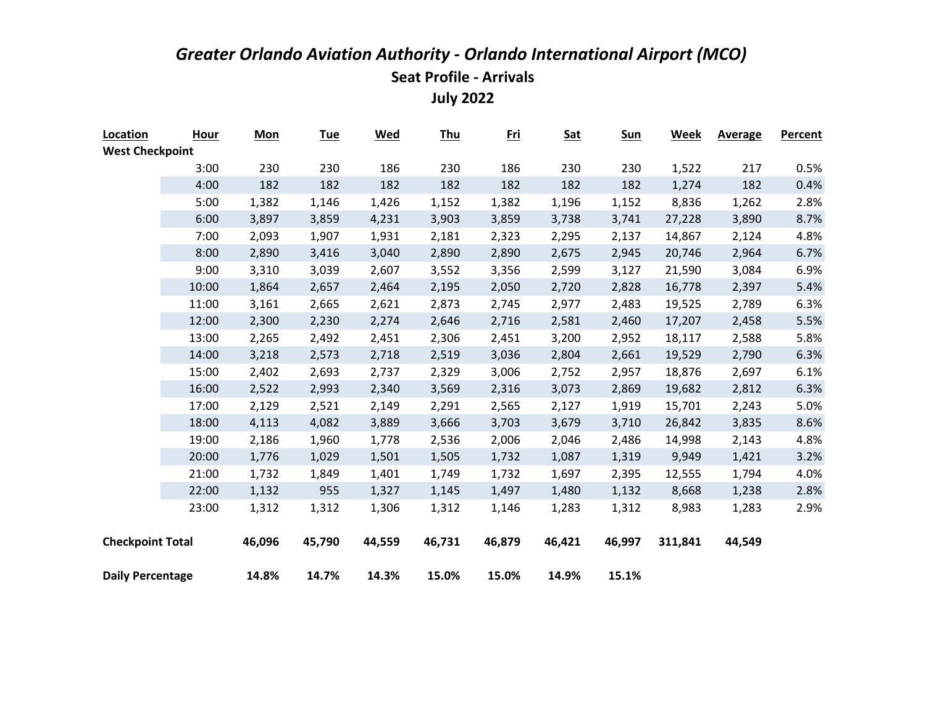| Location                | <b>Hour</b> | <b>Mon</b> | <b>Tue</b> | <b>Wed</b> | <b>Thu</b> | <u>Fri</u> | <b>Sat</b> | <b>Sun</b> | <b>Week</b> | <b>Average</b> | <b>Percent</b> |
|-------------------------|-------------|------------|------------|------------|------------|------------|------------|------------|-------------|----------------|----------------|
| <b>West Checkpoint</b>  |             |            |            |            |            |            |            |            |             |                |                |
|                         | 3:00        | 230        | 230        | 186        | 230        | 186        | 230        | 230        | 1,522       | 217            | 0.5%           |
|                         | 4:00        | 182        | 182        | 182        | 182        | 182        | 182        | 182        | 1,274       | 182            | 0.4%           |
|                         | 5:00        | 1,382      | 1,146      | 1,426      | 1,152      | 1,382      | 1,196      | 1,152      | 8,836       | 1,262          | 2.8%           |
|                         | 6:00        | 3,897      | 3,859      | 4,231      | 3,903      | 3,859      | 3,738      | 3,741      | 27,228      | 3,890          | 8.7%           |
|                         | 7:00        | 2,093      | 1,907      | 1,931      | 2,181      | 2,323      | 2,295      | 2,137      | 14,867      | 2,124          | 4.8%           |
|                         | 8:00        | 2,890      | 3,416      | 3,040      | 2,890      | 2,890      | 2,675      | 2,945      | 20,746      | 2,964          | 6.7%           |
|                         | 9:00        | 3,310      | 3,039      | 2,607      | 3,552      | 3,356      | 2,599      | 3,127      | 21,590      | 3,084          | 6.9%           |
|                         | 10:00       | 1,864      | 2,657      | 2,464      | 2,195      | 2,050      | 2,720      | 2,828      | 16,778      | 2,397          | 5.4%           |
|                         | 11:00       | 3,161      | 2,665      | 2,621      | 2,873      | 2,745      | 2,977      | 2,483      | 19,525      | 2,789          | 6.3%           |
|                         | 12:00       | 2,300      | 2,230      | 2,274      | 2,646      | 2,716      | 2,581      | 2,460      | 17,207      | 2,458          | 5.5%           |
|                         | 13:00       | 2,265      | 2,492      | 2,451      | 2,306      | 2,451      | 3,200      | 2,952      | 18,117      | 2,588          | 5.8%           |
|                         | 14:00       | 3,218      | 2,573      | 2,718      | 2,519      | 3,036      | 2,804      | 2,661      | 19,529      | 2,790          | 6.3%           |
|                         | 15:00       | 2,402      | 2,693      | 2,737      | 2,329      | 3,006      | 2,752      | 2,957      | 18,876      | 2,697          | 6.1%           |
|                         | 16:00       | 2,522      | 2,993      | 2,340      | 3,569      | 2,316      | 3,073      | 2,869      | 19,682      | 2,812          | 6.3%           |
|                         | 17:00       | 2,129      | 2,521      | 2,149      | 2,291      | 2,565      | 2,127      | 1,919      | 15,701      | 2,243          | 5.0%           |
|                         | 18:00       | 4,113      | 4,082      | 3,889      | 3,666      | 3,703      | 3,679      | 3,710      | 26,842      | 3,835          | 8.6%           |
|                         | 19:00       | 2,186      | 1,960      | 1,778      | 2,536      | 2,006      | 2,046      | 2,486      | 14,998      | 2,143          | 4.8%           |
|                         | 20:00       | 1,776      | 1,029      | 1,501      | 1,505      | 1,732      | 1,087      | 1,319      | 9,949       | 1,421          | 3.2%           |
|                         | 21:00       | 1,732      | 1,849      | 1,401      | 1,749      | 1,732      | 1,697      | 2,395      | 12,555      | 1,794          | 4.0%           |
|                         | 22:00       | 1,132      | 955        | 1,327      | 1,145      | 1,497      | 1,480      | 1,132      | 8,668       | 1,238          | 2.8%           |
|                         | 23:00       | 1,312      | 1,312      | 1,306      | 1,312      | 1,146      | 1,283      | 1,312      | 8,983       | 1,283          | 2.9%           |
|                         |             |            |            |            |            |            |            |            |             |                |                |
| <b>Checkpoint Total</b> |             | 46,096     | 45,790     | 44,559     | 46,731     | 46,879     | 46,421     | 46,997     | 311,841     | 44,549         |                |
| <b>Daily Percentage</b> |             | 14.8%      | 14.7%      | 14.3%      | 15.0%      | 15.0%      | 14.9%      | 15.1%      |             |                |                |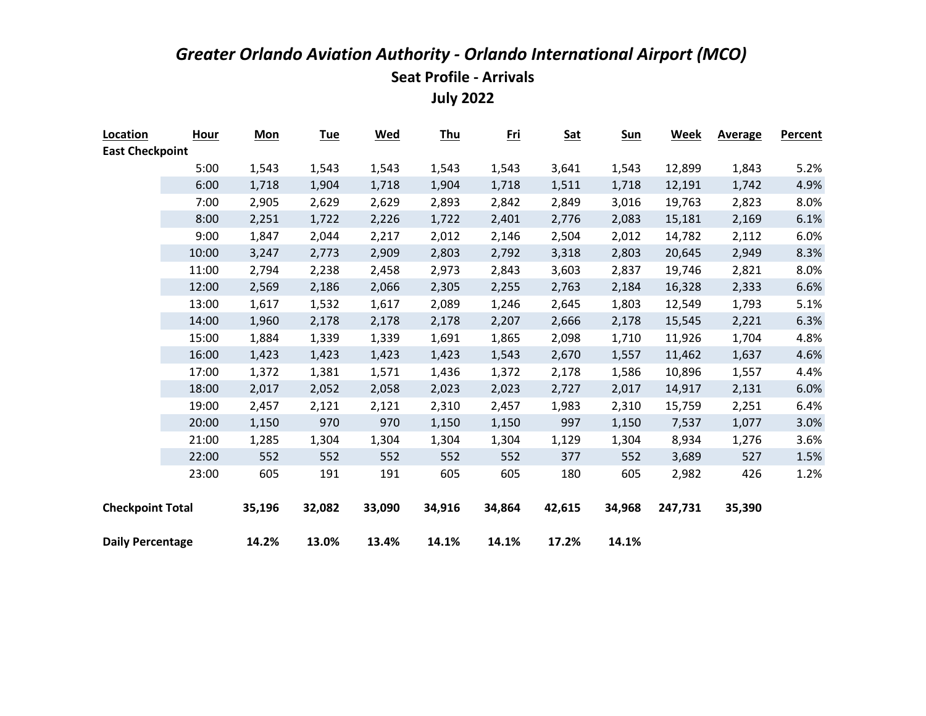| Location                | <b>Hour</b> | <b>Mon</b> | <b>Tue</b> | <u>Wed</u> | <b>Thu</b> | <u>Fri</u> | <b>Sat</b> | <b>Sun</b> | Week    | <b>Average</b> | Percent |
|-------------------------|-------------|------------|------------|------------|------------|------------|------------|------------|---------|----------------|---------|
| <b>East Checkpoint</b>  |             |            |            |            |            |            |            |            |         |                |         |
|                         | 5:00        | 1,543      | 1,543      | 1,543      | 1,543      | 1,543      | 3,641      | 1,543      | 12,899  | 1,843          | 5.2%    |
|                         | 6:00        | 1,718      | 1,904      | 1,718      | 1,904      | 1,718      | 1,511      | 1,718      | 12,191  | 1,742          | 4.9%    |
|                         | 7:00        | 2,905      | 2,629      | 2,629      | 2,893      | 2,842      | 2,849      | 3,016      | 19,763  | 2,823          | 8.0%    |
|                         | 8:00        | 2,251      | 1,722      | 2,226      | 1,722      | 2,401      | 2,776      | 2,083      | 15,181  | 2,169          | 6.1%    |
|                         | 9:00        | 1,847      | 2,044      | 2,217      | 2,012      | 2,146      | 2,504      | 2,012      | 14,782  | 2,112          | 6.0%    |
|                         | 10:00       | 3,247      | 2,773      | 2,909      | 2,803      | 2,792      | 3,318      | 2,803      | 20,645  | 2,949          | 8.3%    |
|                         | 11:00       | 2,794      | 2,238      | 2,458      | 2,973      | 2,843      | 3,603      | 2,837      | 19,746  | 2,821          | 8.0%    |
|                         | 12:00       | 2,569      | 2,186      | 2,066      | 2,305      | 2,255      | 2,763      | 2,184      | 16,328  | 2,333          | 6.6%    |
|                         | 13:00       | 1,617      | 1,532      | 1,617      | 2,089      | 1,246      | 2,645      | 1,803      | 12,549  | 1,793          | 5.1%    |
|                         | 14:00       | 1,960      | 2,178      | 2,178      | 2,178      | 2,207      | 2,666      | 2,178      | 15,545  | 2,221          | 6.3%    |
|                         | 15:00       | 1,884      | 1,339      | 1,339      | 1,691      | 1,865      | 2,098      | 1,710      | 11,926  | 1,704          | 4.8%    |
|                         | 16:00       | 1,423      | 1,423      | 1,423      | 1,423      | 1,543      | 2,670      | 1,557      | 11,462  | 1,637          | 4.6%    |
|                         | 17:00       | 1,372      | 1,381      | 1,571      | 1,436      | 1,372      | 2,178      | 1,586      | 10,896  | 1,557          | 4.4%    |
|                         | 18:00       | 2,017      | 2,052      | 2,058      | 2,023      | 2,023      | 2,727      | 2,017      | 14,917  | 2,131          | 6.0%    |
|                         | 19:00       | 2,457      | 2,121      | 2,121      | 2,310      | 2,457      | 1,983      | 2,310      | 15,759  | 2,251          | 6.4%    |
|                         | 20:00       | 1,150      | 970        | 970        | 1,150      | 1,150      | 997        | 1,150      | 7,537   | 1,077          | 3.0%    |
|                         | 21:00       | 1,285      | 1,304      | 1,304      | 1,304      | 1,304      | 1,129      | 1,304      | 8,934   | 1,276          | 3.6%    |
|                         | 22:00       | 552        | 552        | 552        | 552        | 552        | 377        | 552        | 3,689   | 527            | 1.5%    |
|                         | 23:00       | 605        | 191        | 191        | 605        | 605        | 180        | 605        | 2,982   | 426            | 1.2%    |
| <b>Checkpoint Total</b> |             | 35,196     | 32,082     | 33,090     | 34,916     | 34,864     | 42,615     | 34,968     | 247,731 | 35,390         |         |
| <b>Daily Percentage</b> |             | 14.2%      | 13.0%      | 13.4%      | 14.1%      | 14.1%      | 17.2%      | 14.1%      |         |                |         |